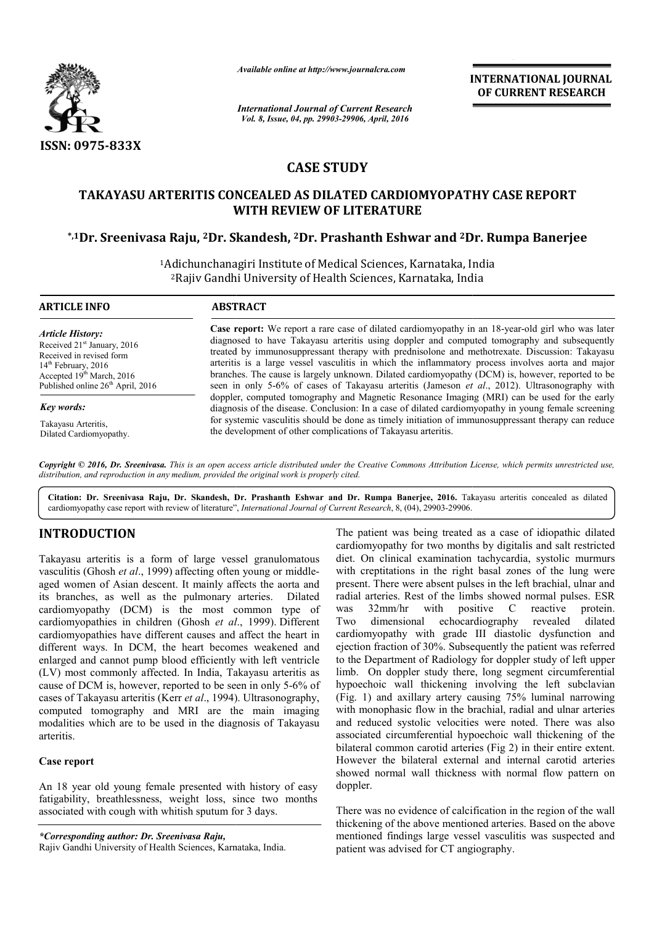

*Available online at http://www.journalcra.com*

**INTERNATIONAL JOURNAL OF CURRENT RESEARCH** 

*International Journal of Current Research Vol. 8, Issue, 04, pp. 29903-29906, April, 2016*

# **CASE STUDY**

# **TAKAYASU ARTERITIS CONCEALED AS DILATED CARDIOMYOPATHY AS CASE REPORT WITH REVIEW OF LITERATURE**

## **\*,1Dr. Sreenivasa Raju, 2Dr. Skandesh, 2Dr. Prashanth Eshwar and 2Dr Dr. Rumpa Banerjee**

<sup>1</sup>Adichunchanagiri Institute of Medical Sciences, Karnataka, India 2Rajiv Gandhi University of Health Sciences, Karnataka, India Rajiv

#### **ARTICLE INFO ABSTRACT**

*Article History:* Received 21<sup>st</sup> January, 2016 Received in revised form 14<sup>th</sup> February, 2016 Accepted 19<sup>th</sup> March, 2016 Published online 26<sup>th</sup> April, 2016

*Key words:*

Takayasu Arteritis, Dilated Cardiomyopathy.

**Case report:** We report a rare case of dilated cardiomyopathy in an 18-year-old girl who was later diagnosed to have Takayasu arteritis using doppler and computed tomography and subsequently diagnosed to have Takayasu arteritis using doppler and computed tomography and subsequently treated by immunosuppressant therapy with prednisolone and methotrexate. Discussion: Takayasu arteritis is a large vessel vasculitis in which the inflammatory process involves aorta and major branches. The cause is largely unknown. Dilated cardiomyopathy (DCM) is, however, reported to be seen in only 5 5-6% of cases of Takayasu arteritis (Jameson *et al* doppler, computed tomography and Magnetic Resonance Imaging (MRI) can be used for the early diagnosis of the disease. Conclusion: In a case of dilated cardiomyopathy in young female screening for systemic vasculitis should be done as timely initiation of immunosuppressant therapy can reduce the development of other complications of Takayasu arteritis. arteritis is a large vessel vasculitis in which the inflammatory process involves aorta and major<br>branches. The cause is largely unknown. Dilated cardiomyopathy (DCM) is, however, reported to be<br>seen in only 5-6% of cases doppler, computed tomography and Magnetic Resonance Imaging (MRI) can be used for the early diagnosis of the disease. Conclusion: In a case of dilated cardiomyopathy in young female screening for systemic vasculitis should

Copyright © 2016, Dr. Sreenivasa. This is an open access article distributed under the Creative Commons Attribution License, which permits unrestricted use, *distribution, and reproduction in any medium, provided the original work is properly cited.*

Citation: Dr. Sreenivasa Raju, Dr. Skandesh, Dr. Prashanth Eshwar and Dr. Rumpa Banerjee, 2016. Takayasu arteritis concealed as dilated cardiomyopathy case report with review of literature", *International Journal of Current Research*, 8, (04), 29903-29906.

# **INTRODUCTION**

Takayasu arteritis is a form of large vessel granulomatous vasculitis (Ghosh et al., 1999) affecting often young or middleaged women of Asian descent. It mainly affects the aorta and its branches, as well as the pulmonary arteries. Dilated cardiomyopathy (DCM) is the most common type of cardiomyopathies in children (Ghosh *et al* ., 1999). Different cardiomyopathies have different causes and affect the heart in different ways. In DCM, the heart becomes weakened and enlarged and cannot pump blood efficiently with left ventricle (LV) most commonly affected. In India, Takayasu arteritis as cause of DCM is, however, reported to be seen in only 5 5-6% of cases of Takayasu arteritis (Kerr *et al*., 1994) ). Ultrasonography, computed tomography and MRI are the main imaging modalities which are to be used in the diagnosis of Takayasu arteritis.

### **Case report**

An 18 year old young female presented with history of easy fatigability, breathlessness, weight loss, since two months associated with cough with whitish sputum for 3 days.

*\*Corresponding author: Dr. Sreenivasa Raju,*

The patient was being treated as a case of idiopathic dilated cardiomyopathy for two months by digitalis and salt restricted diet. On clinical examination tachycardia, systolic murmurs with creptitations in the right basal zones of the lung were present. There were absent pulses in the left brachial, ulnar and radial arteries. Rest of the limbs showed normal pulses. ESR<br>was  $32 \text{mm/hr}$  with positive C reactive protein was 32mm/hr with positive C reactive protein.<br>Two dimensional echocardiography revealed dilated Two dimensional echocardiography cardiomyopathy with grade III diastolic dysfunction and ejection fraction of 30%. Subsequently the patient was referred to the Department of Radiology for doppler study of left upper limb. On doppler study there, long segment circumferential hypoechoic wall thickening involving the left subclavian (Fig. 1) and axillary artery causing 75% luminal narrowing with monophasic flow in the brachial, radial and ulnar arteries and reduced systolic velocities were noted. There was also associated circumferential hypoechoic wall thickening of the bilateral common carotid arteries (Fig 2) in their entire extent. However the bilateral external and internal carotid arteries showed normal wall thickness with normal flow pattern on doppler. The patient was being treated as a case of idiopathic dilated cardiomyopathy for two months by digitalis and salt restricted diet. On clinical examination tachycardia, systolic murmurs with creptitations in the right basal revealed cardiomyopathy with grade III diastolic dysfunction and ejection fraction of 30%. Subsequently the patient was referred to the Department of Radiology for doppler study of left upper limb. On doppler study there, long segm hypoechoic wall thickening involving the left subclavian (Fig. 1) and axillary artery causing 75% luminal narrowing with monophasic flow in the brachial, radial and ulnar arteries reduced systolic velocities were noted. There was also<br>ciated circumferential hypoechoic wall thickening of the<br>eral common carotid arteries (Fig 2) in their entire extent.

There was no evidence of calcification in the region of the wall thickening of the above mentioned arteries. Based on the above mentioned findings large vessel vasculitis was suspected and patient was advised for CT angiography. the bilateral external and internal carotid arteries<br>ormal wall thickness with normal flow pattern on<br>no evidence of calcification in the region of the wall<br>of the above mentioned arteries. Based on the above<br>findings larg

Rajiv Gandhi University of Health Sciences, Karnataka, India.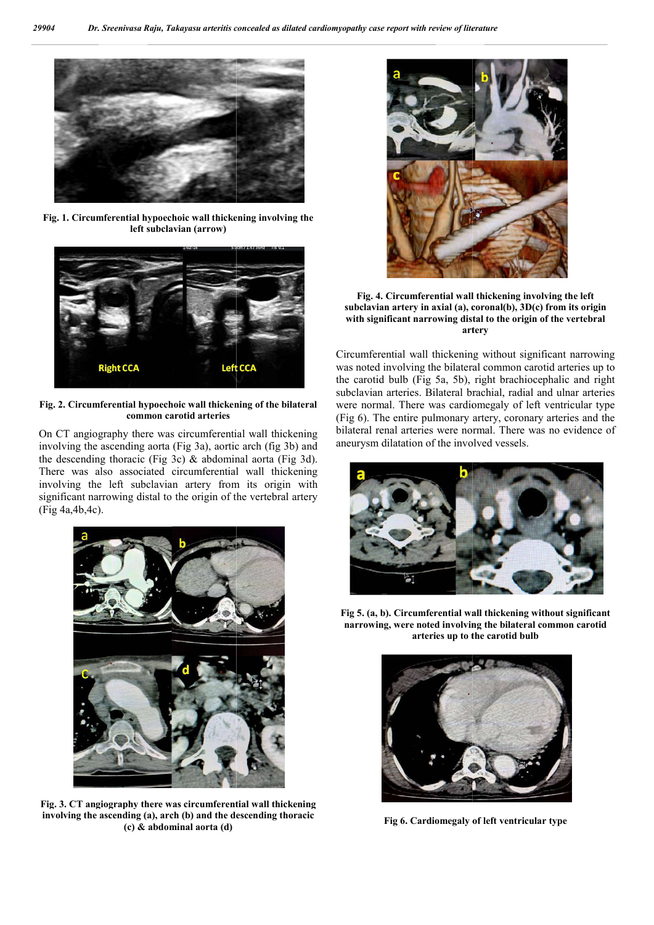

**Fig. 1. Circumferential hypoechoic wall thickening involving the left subclavian (arrow)**



**Fig. 2. Circumferential hypoechoic wall thickening of the bilateral common carotid arteries**

On CT angiography there was circumferential wall thickening involving the ascending aorta (Fig 3a), aortic arch (fig 3b) and the descending thoracic (Fig 3c)  $\&$  abdominal aorta (Fig 3d). There was also associated circumferential wall thickening involving the left subclavian artery from its origin with significant narrowing distal to the origin of the vertebral artery (Fig 4a,4b,4c).



**Fig. 3. CT angiography there was circumferential wall thickening involving the ascending (a), arch (b) and the descending thoracic (c) & abdominal aorta (d)**



**Fig. 4. Circumferential wall thickening involving the left subclavian artery in axial (a), coronal(b), 3D(c) from its origin with significant narrowing distal to the origin of the vertebral the vertebral artery**

Circumferential wall thickening without significant narrowing was noted involving the bilateral common carotid arteries up to the carotid bulb (Fig 5a, 5b), right brachiocephalic and right subclavian arteries. Bilateral brachial, radial and ulnar arteries were normal. There was cardiomegaly of left ventricular type (Fig 6). The entire pulmonary artery, coronary arteries and the bilateral renal arteries were normal. There was no evidence of aneurysm dilatation of the involved vessels. rential wall thickening without significant narrod involving the bilateral common carotid arteries<br>id bulb (Fig 5a, 5b), right brachiocephalic and<br>an arteries. Bilateral brachial, radial and ulnar ar<br>mal. There was cardiom



**Fig 5. (a, b). Circumferential wall thickening without significant narrowing, were noted involving the b narrowing, bilateral common carotid arteries up to the carotid bulb**



**Fig 6. Cardiomegaly of left ventricular type**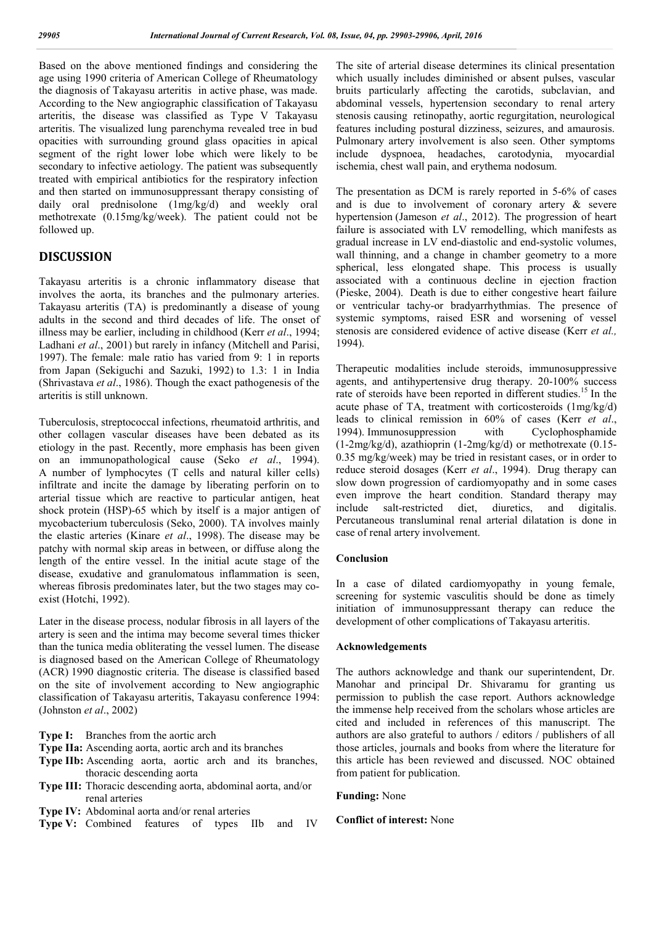Based on the above mentioned findings and considering the age using 1990 criteria of American College of Rheumatology the diagnosis of Takayasu arteritis in active phase, was made. According to the New angiographic classification of Takayasu arteritis, the disease was classified as Type V Takayasu arteritis. The visualized lung parenchyma revealed tree in bud opacities with surrounding ground glass opacities in apical segment of the right lower lobe which were likely to be secondary to infective aetiology. The patient was subsequently treated with empirical antibiotics for the respiratory infection and then started on immunosuppressant therapy consisting of daily oral prednisolone (1mg/kg/d) and weekly oral methotrexate (0.15mg/kg/week). The patient could not be followed up.

# **DISCUSSION**

Takayasu arteritis is a chronic inflammatory disease that involves the aorta, its branches and the pulmonary arteries. Takayasu arteritis (TA) is predominantly a disease of young adults in the second and third decades of life. The onset of illness may be earlier, including in childhood (Kerr *et al*., 1994; Ladhani *et al*., 2001) but rarely in infancy (Mitchell and Parisi, 1997). The female: male ratio has varied from 9: 1 in reports from Japan (Sekiguchi and Sazuki, 1992) to 1.3: 1 in India (Shrivastava *et al*., 1986). Though the exact pathogenesis of the arteritis is still unknown.

Tuberculosis, streptococcal infections, rheumatoid arthritis, and other collagen vascular diseases have been debated as its etiology in the past. Recently, more emphasis has been given on an immunopathological cause (Seko *et al*., 1994). A number of lymphocytes (T cells and natural killer cells) infiltrate and incite the damage by liberating perforin on to arterial tissue which are reactive to particular antigen, heat shock protein (HSP)-65 which by itself is a major antigen of mycobacterium tuberculosis (Seko, 2000). TA involves mainly the elastic arteries (Kinare *et al*., 1998). The disease may be patchy with normal skip areas in between, or diffuse along the length of the entire vessel. In the initial acute stage of the disease, exudative and granulomatous inflammation is seen, whereas fibrosis predominates later, but the two stages may coexist (Hotchi, 1992).

Later in the disease process, nodular fibrosis in all layers of the artery is seen and the intima may become several times thicker than the tunica media obliterating the vessel lumen. The disease is diagnosed based on the American College of Rheumatology (ACR) 1990 diagnostic criteria. The disease is classified based on the site of involvement according to New angiographic classification of Takayasu arteritis, Takayasu conference 1994: (Johnston *et al*., 2002)

- **Type I:** Branches from the aortic arch
- **Type IIa:** Ascending aorta, aortic arch and its branches
- **Type IIb:** Ascending aorta, aortic arch and its branches, thoracic descending aorta
- **Type III:** Thoracic descending aorta, abdominal aorta, and/or renal arteries
- **Type IV:** Abdominal aorta and/or renal arteries
- **Type V:** Combined features of types IIb and IV

The site of arterial disease determines its clinical presentation which usually includes diminished or absent pulses, vascular bruits particularly affecting the carotids, subclavian, and abdominal vessels, hypertension secondary to renal artery stenosis causing retinopathy, aortic regurgitation, neurological features including postural dizziness, seizures, and amaurosis. Pulmonary artery involvement is also seen. Other symptoms include dyspnoea, headaches, carotodynia, myocardial ischemia, chest wall pain, and erythema nodosum.

The presentation as DCM is rarely reported in 5-6% of cases and is due to involvement of coronary artery & severe hypertension (Jameson *et al*., 2012). The progression of heart failure is associated with LV remodelling, which manifests as gradual increase in LV end-diastolic and end-systolic volumes, wall thinning, and a change in chamber geometry to a more spherical, less elongated shape. This process is usually associated with a continuous decline in ejection fraction (Pieske, 2004). Death is due to either congestive heart failure or ventricular tachy-or bradyarrhythmias. The presence of systemic symptoms, raised ESR and worsening of vessel stenosis are considered evidence of active disease (Kerr *et al.,*  1994).

Therapeutic modalities include steroids, immunosuppressive agents, and antihypertensive drug therapy. 20-100% success rate of steroids have been reported in different studies.<sup>15</sup> In the acute phase of TA, treatment with corticosteroids (1mg/kg/d) leads to clinical remission in 60% of cases (Kerr *et al*., 1994). Immunosuppression with Cyclophosphamide (1-2mg/kg/d), azathioprin (1-2mg/kg/d) or methotrexate (0.15- 0.35 mg/kg/week) may be tried in resistant cases, or in order to reduce steroid dosages (Kerr *et al*., 1994). Drug therapy can slow down progression of cardiomyopathy and in some cases even improve the heart condition. Standard therapy may include salt-restricted diet, diuretics, and digitalis. Percutaneous transluminal renal arterial dilatation is done in case of renal artery involvement.

#### **Conclusion**

In a case of dilated cardiomyopathy in young female, screening for systemic vasculitis should be done as timely initiation of immunosuppressant therapy can reduce the development of other complications of Takayasu arteritis.

#### **Acknowledgements**

The authors acknowledge and thank our superintendent, Dr. Manohar and principal Dr. Shivaramu for granting us permission to publish the case report. Authors acknowledge the immense help received from the scholars whose articles are cited and included in references of this manuscript. The authors are also grateful to authors / editors / publishers of all those articles, journals and books from where the literature for this article has been reviewed and discussed. NOC obtained from patient for publication.

**Funding:** None

**Conflict of interest:** None